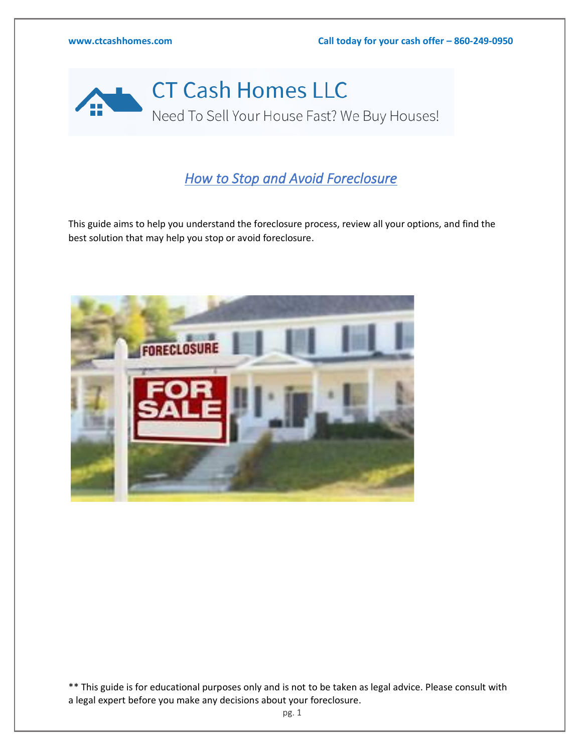

## *How to Stop and Avoid Foreclosure*

This guide aims to help you understand the foreclosure process, review all your options, and find the best solution that may help you stop or avoid foreclosure.



\*\* This guide is for educational purposes only and is not to be taken as legal advice. Please consult with a legal expert before you make any decisions about your foreclosure.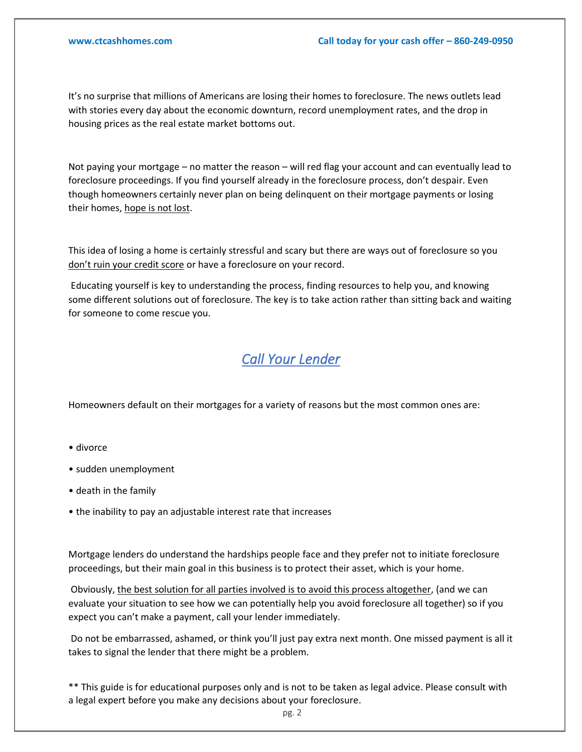It's no surprise that millions of Americans are losing their homes to foreclosure. The news outlets lead with stories every day about the economic downturn, record unemployment rates, and the drop in housing prices as the real estate market bottoms out.

Not paying your mortgage – no matter the reason – will red flag your account and can eventually lead to foreclosure proceedings. If you find yourself already in the foreclosure process, don't despair. Even though homeowners certainly never plan on being delinquent on their mortgage payments or losing their homes, hope is not lost.

This idea of losing a home is certainly stressful and scary but there are ways out of foreclosure so you don't ruin your credit score or have a foreclosure on your record.

Educating yourself is key to understanding the process, finding resources to help you, and knowing some different solutions out of foreclosure. The key is to take action rather than sitting back and waiting for someone to come rescue you.

#### *Call Your Lender*

Homeowners default on their mortgages for a variety of reasons but the most common ones are:

- divorce
- sudden unemployment
- death in the family
- the inability to pay an adjustable interest rate that increases

Mortgage lenders do understand the hardships people face and they prefer not to initiate foreclosure proceedings, but their main goal in this business is to protect their asset, which is your home.

Obviously, the best solution for all parties involved is to avoid this process altogether, (and we can evaluate your situation to see how we can potentially help you avoid foreclosure all together) so if you expect you can't make a payment, call your lender immediately.

Do not be embarrassed, ashamed, or think you'll just pay extra next month. One missed payment is all it takes to signal the lender that there might be a problem.

\*\* This guide is for educational purposes only and is not to be taken as legal advice. Please consult with a legal expert before you make any decisions about your foreclosure.

pg. 2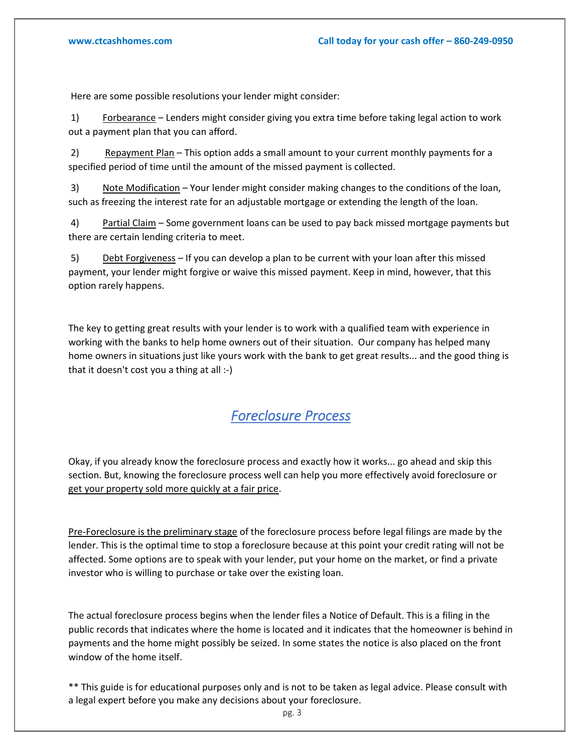Here are some possible resolutions your lender might consider:

1) Forbearance – Lenders might consider giving you extra time before taking legal action to work out a payment plan that you can afford.

2) Repayment Plan – This option adds a small amount to your current monthly payments for a specified period of time until the amount of the missed payment is collected.

3) Note Modification – Your lender might consider making changes to the conditions of the loan, such as freezing the interest rate for an adjustable mortgage or extending the length of the loan.

4) Partial Claim – Some government loans can be used to pay back missed mortgage payments but there are certain lending criteria to meet.

5) Debt Forgiveness – If you can develop a plan to be current with your loan after this missed payment, your lender might forgive or waive this missed payment. Keep in mind, however, that this option rarely happens.

The key to getting great results with your lender is to work with a qualified team with experience in working with the banks to help home owners out of their situation. Our company has helped many home owners in situations just like yours work with the bank to get great results... and the good thing is that it doesn't cost you a thing at all :-)

### *Foreclosure Process*

Okay, if you already know the foreclosure process and exactly how it works... go ahead and skip this section. But, knowing the foreclosure process well can help you more effectively avoid foreclosure or get your property sold more quickly at a fair price.

Pre-Foreclosure is the preliminary stage of the foreclosure process before legal filings are made by the lender. This is the optimal time to stop a foreclosure because at this point your credit rating will not be affected. Some options are to speak with your lender, put your home on the market, or find a private investor who is willing to purchase or take over the existing loan.

The actual foreclosure process begins when the lender files a Notice of Default. This is a filing in the public records that indicates where the home is located and it indicates that the homeowner is behind in payments and the home might possibly be seized. In some states the notice is also placed on the front window of the home itself.

\*\* This guide is for educational purposes only and is not to be taken as legal advice. Please consult with a legal expert before you make any decisions about your foreclosure.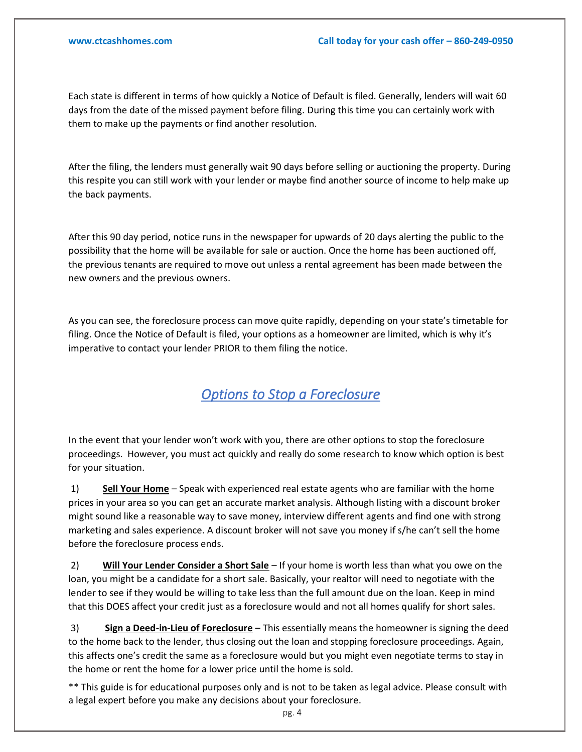Each state is different in terms of how quickly a Notice of Default is filed. Generally, lenders will wait 60 days from the date of the missed payment before filing. During this time you can certainly work with them to make up the payments or find another resolution.

After the filing, the lenders must generally wait 90 days before selling or auctioning the property. During this respite you can still work with your lender or maybe find another source of income to help make up the back payments.

After this 90 day period, notice runs in the newspaper for upwards of 20 days alerting the public to the possibility that the home will be available for sale or auction. Once the home has been auctioned off, the previous tenants are required to move out unless a rental agreement has been made between the new owners and the previous owners.

As you can see, the foreclosure process can move quite rapidly, depending on your state's timetable for filing. Once the Notice of Default is filed, your options as a homeowner are limited, which is why it's imperative to contact your lender PRIOR to them filing the notice.

### *Options to Stop a Foreclosure*

In the event that your lender won't work with you, there are other options to stop the foreclosure proceedings. However, you must act quickly and really do some research to know which option is best for your situation.

1) **Sell Your Home** – Speak with experienced real estate agents who are familiar with the home prices in your area so you can get an accurate market analysis. Although listing with a discount broker might sound like a reasonable way to save money, interview different agents and find one with strong marketing and sales experience. A discount broker will not save you money if s/he can't sell the home before the foreclosure process ends.

2) **Will Your Lender Consider a Short Sale** – If your home is worth less than what you owe on the loan, you might be a candidate for a short sale. Basically, your realtor will need to negotiate with the lender to see if they would be willing to take less than the full amount due on the loan. Keep in mind that this DOES affect your credit just as a foreclosure would and not all homes qualify for short sales.

3) **Sign a Deed-in-Lieu of Foreclosure** – This essentially means the homeowner is signing the deed to the home back to the lender, thus closing out the loan and stopping foreclosure proceedings. Again, this affects one's credit the same as a foreclosure would but you might even negotiate terms to stay in the home or rent the home for a lower price until the home is sold.

\*\* This guide is for educational purposes only and is not to be taken as legal advice. Please consult with a legal expert before you make any decisions about your foreclosure.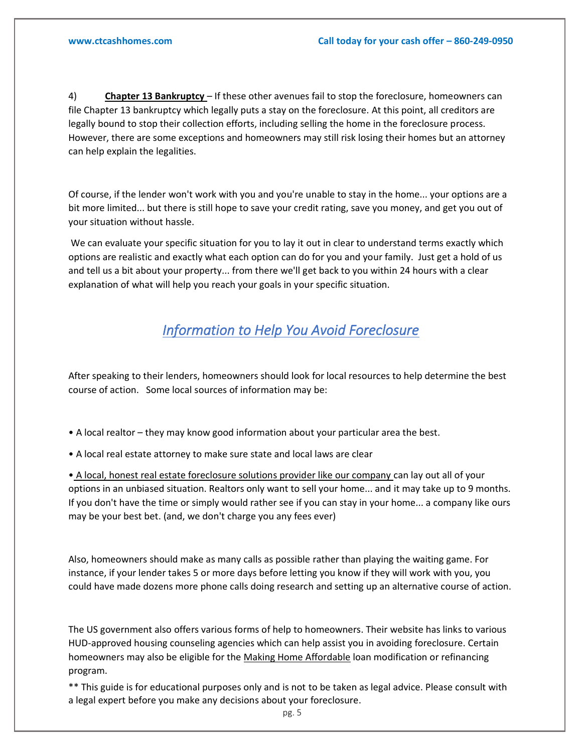4) **Chapter 13 Bankruptcy** – If these other avenues fail to stop the foreclosure, homeowners can file Chapter 13 bankruptcy which legally puts a stay on the foreclosure. At this point, all creditors are legally bound to stop their collection efforts, including selling the home in the foreclosure process. However, there are some exceptions and homeowners may still risk losing their homes but an attorney can help explain the legalities.

Of course, if the lender won't work with you and you're unable to stay in the home... your options are a bit more limited... but there is still hope to save your credit rating, save you money, and get you out of your situation without hassle.

We can evaluate your specific situation for you to lay it out in clear to understand terms exactly which options are realistic and exactly what each option can do for you and your family. Just get a hold of us and tell us a bit about your property... from there we'll get back to you within 24 hours with a clear explanation of what will help you reach your goals in your specific situation.

# *Information to Help You Avoid Foreclosure*

After speaking to their lenders, homeowners should look for local resources to help determine the best course of action. Some local sources of information may be:

- A local realtor they may know good information about your particular area the best.
- A local real estate attorney to make sure state and local laws are clear

• A local, honest real estate foreclosure solutions provider like our company can lay out all of your options in an unbiased situation. Realtors only want to sell your home... and it may take up to 9 months. If you don't have the time or simply would rather see if you can stay in your home... a company like ours may be your best bet. (and, we don't charge you any fees ever)

Also, homeowners should make as many calls as possible rather than playing the waiting game. For instance, if your lender takes 5 or more days before letting you know if they will work with you, you could have made dozens more phone calls doing research and setting up an alternative course of action.

The US government also offers various forms of help to homeowners. Their website has links to various HUD-approved housing counseling agencies which can help assist you in avoiding foreclosure. Certain homeowners may also be eligible for the Making Home Affordable loan modification or refinancing program.

\*\* This guide is for educational purposes only and is not to be taken as legal advice. Please consult with a legal expert before you make any decisions about your foreclosure.

pg. 5